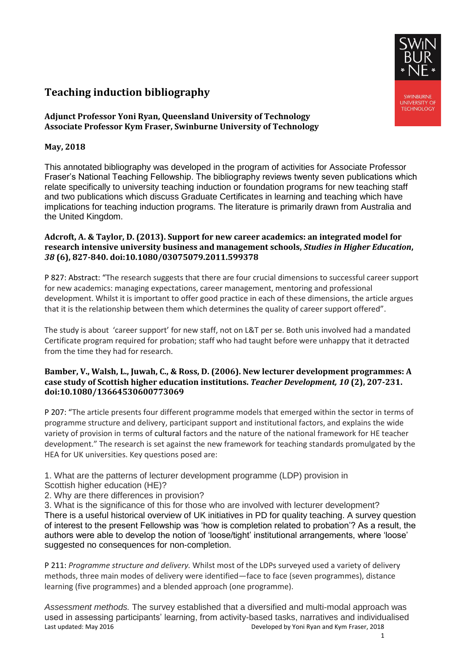# **Teaching induction bibliography**

# **Adjunct Professor Yoni Ryan, Queensland University of Technology Associate Professor Kym Fraser, Swinburne University of Technology**

# **May, 2018**

This annotated bibliography was developed in the program of activities for Associate Professor Fraser's National Teaching Fellowship. The bibliography reviews twenty seven publications which relate specifically to university teaching induction or foundation programs for new teaching staff and two publications which discuss Graduate Certificates in learning and teaching which have implications for teaching induction programs. The literature is primarily drawn from Australia and the United Kingdom.

### **Adcroft, A. & Taylor, D. (2013). Support for new career academics: an integrated model for research intensive university business and management schools,** *Studies in Higher Education***,**  *38* **(6), 827-840. doi:10.1080/03075079.2011.599378**

P 827: Abstract: "The research suggests that there are four crucial dimensions to successful career support for new academics: managing expectations, career management, mentoring and professional development. Whilst it is important to offer good practice in each of these dimensions, the article argues that it is the relationship between them which determines the quality of career support offered".

The study is about 'career support' for new staff, not on L&T per se. Both unis involved had a mandated Certificate program required for probation; staff who had taught before were unhappy that it detracted from the time they had for research.

### **Bamber, V., Walsh, L., Juwah, C., & Ross, D. (2006). New lecturer development programmes: A case study of Scottish higher education institutions.** *Teacher Development, 10* **(2), 207-231. doi:10.1080/13664530600773069**

P 207: "The article presents four different programme models that emerged within the sector in terms of programme structure and delivery, participant support and institutional factors, and explains the wide variety of provision in terms of cultural factors and the nature of the national framework for HE teacher development." The research is set against the new framework for teaching standards promulgated by the HEA for UK universities. Key questions posed are:

1. What are the patterns of lecturer development programme (LDP) provision in

- Scottish higher education (HE)?
- 2. Why are there differences in provision?

3. What is the significance of this for those who are involved with lecturer development? There is a useful historical overview of UK initiatives in PD for quality teaching. A survey question of interest to the present Fellowship was 'how is completion related to probation'? As a result, the authors were able to develop the notion of 'loose/tight' institutional arrangements, where 'loose' suggested no consequences for non-completion.

P 211: *Programme structure and delivery.* Whilst most of the LDPs surveyed used a variety of delivery methods, three main modes of delivery were identified—face to face (seven programmes), distance learning (five programmes) and a blended approach (one programme).

Last updated: May 2016 Developed by Yoni Ryan and Kym Fraser, 2018 *Assessment methods.* The survey established that a diversified and multi-modal approach was used in assessing participants' learning, from activity-based tasks, narratives and individualised

*SWINBLIRNE* UNIVERSITY OF<br>TECHNOLOGY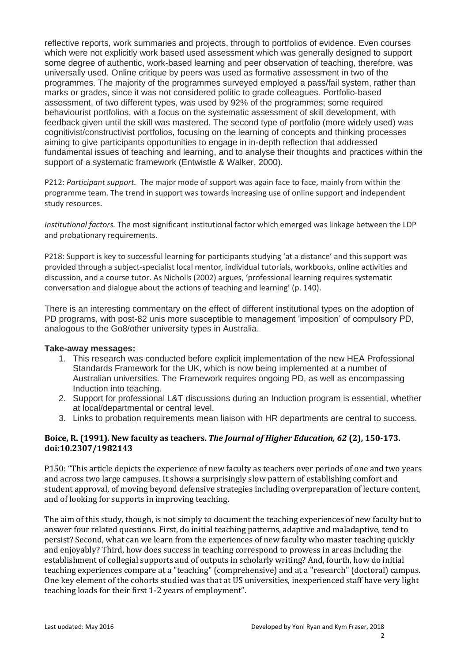reflective reports, work summaries and projects, through to portfolios of evidence. Even courses which were not explicitly work based used assessment which was generally designed to support some degree of authentic, work-based learning and peer observation of teaching, therefore, was universally used. Online critique by peers was used as formative assessment in two of the programmes. The majority of the programmes surveyed employed a pass/fail system, rather than marks or grades, since it was not considered politic to grade colleagues. Portfolio-based assessment, of two different types, was used by 92% of the programmes; some required behaviourist portfolios, with a focus on the systematic assessment of skill development, with feedback given until the skill was mastered. The second type of portfolio (more widely used) was cognitivist/constructivist portfolios, focusing on the learning of concepts and thinking processes aiming to give participants opportunities to engage in in-depth reflection that addressed fundamental issues of teaching and learning, and to analyse their thoughts and practices within the support of a systematic framework (Entwistle & Walker, 2000).

P212: *Participant support.* The major mode of support was again face to face, mainly from within the programme team. The trend in support was towards increasing use of online support and independent study resources.

*Institutional factors.* The most significant institutional factor which emerged was linkage between the LDP and probationary requirements.

P218: Support is key to successful learning for participants studying 'at a distance' and this support was provided through a subject-specialist local mentor, individual tutorials, workbooks, online activities and discussion, and a course tutor. As Nicholls (2002) argues, 'professional learning requires systematic conversation and dialogue about the actions of teaching and learning' (p. 140).

There is an interesting commentary on the effect of different institutional types on the adoption of PD programs, with post-82 unis more susceptible to management 'imposition' of compulsory PD, analogous to the Go8/other university types in Australia.

#### **Take-away messages:**

- 1. This research was conducted before explicit implementation of the new HEA Professional Standards Framework for the UK, which is now being implemented at a number of Australian universities. The Framework requires ongoing PD, as well as encompassing Induction into teaching.
- 2. Support for professional L&T discussions during an Induction program is essential, whether at local/departmental or central level.
- 3. Links to probation requirements mean liaison with HR departments are central to success.

# **Boice, R. (1991). New faculty as teachers.** *The Journal of Higher Education, 62* **(2), 150-173. doi:10.2307/1982143**

P150: "This article depicts the experience of new faculty as teachers over periods of one and two years and across two large campuses. It shows a surprisingly slow pattern of establishing comfort and student approval, of moving beyond defensive strategies including overpreparation of lecture content, and of looking for supports in improving teaching.

The aim of this study, though, is not simply to document the teaching experiences of new faculty but to answer four related questions. First, do initial teaching patterns, adaptive and maladaptive, tend to persist? Second, what can we learn from the experiences of new faculty who master teaching quickly and enjoyably? Third, how does success in teaching correspond to prowess in areas including the establishment of collegial supports and of outputs in scholarly writing? And, fourth, how do initial teaching experiences compare at a "teaching" (comprehensive) and at a "research" (doctoral) campus. One key element of the cohorts studied was that at US universities, inexperienced staff have very light teaching loads for their first 1-2 years of employment".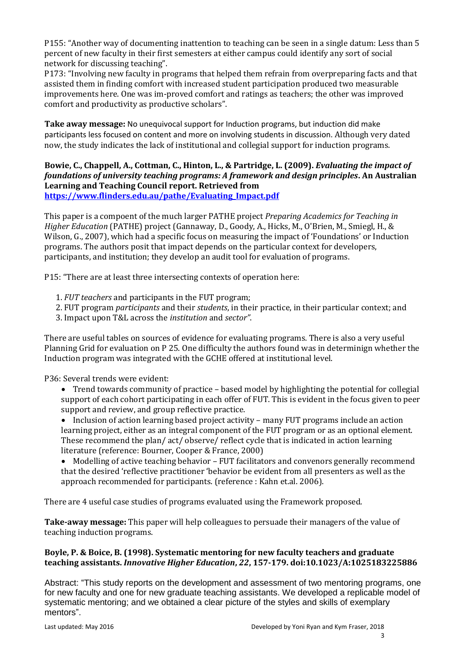P155: "Another way of documenting inattention to teaching can be seen in a single datum: Less than 5 percent of new faculty in their first semesters at either campus could identify any sort of social network for discussing teaching".

P173: "Involving new faculty in programs that helped them refrain from overpreparing facts and that assisted them in finding comfort with increased student participation produced two measurable improvements here. One was im-proved comfort and ratings as teachers; the other was improved comfort and productivity as productive scholars".

**Take away message:** No unequivocal support for Induction programs, but induction did make participants less focused on content and more on involving students in discussion. Although very dated now, the study indicates the lack of institutional and collegial support for induction programs.

# **Bowie, C., Chappell, A., Cottman, C., Hinton, L., & Partridge, L. (2009).** *Evaluating the impact of foundations of university teaching programs: A framework and design principles***. An Australian Learning and Teaching Council report. Retrieved from [https://www.flinders.edu.au/pathe/Evaluating\\_Impact.pdf](https://www.flinders.edu.au/pathe/Evaluating_Impact.pdf)**

This paper is a compoent of the much larger PATHE project *Preparing Academics for Teaching in Higher Education* (PATHE) project (Gannaway, D., Goody, A., Hicks, M., O'Brien, M., Smiegl, H., & Wilson, G., 2007), which had a specific focus on measuring the impact of 'Foundations' or Induction programs. The authors posit that impact depends on the particular context for developers, participants, and institution; they develop an audit tool for evaluation of programs.

P15: "There are at least three intersecting contexts of operation here:

- 1. *FUT teachers* and participants in the FUT program;
- 2. FUT program *participants* and their *students*, in their practice, in their particular context; and
- 3. Impact upon T&L across the *institution* and *sector"*.

There are useful tables on sources of evidence for evaluating programs. There is also a very useful Planning Grid for evaluation on P 25. One difficulty the authors found was in determinign whether the Induction program was integrated with the GCHE offered at institutional level.

P36: Several trends were evident:

- Trend towards community of practice based model by highlighting the potential for collegial support of each cohort participating in each offer of FUT. This is evident in the focus given to peer support and review, and group reflective practice.
- Inclusion of action learning based project activity many FUT programs include an action learning project, either as an integral component of the FUT program or as an optional element. These recommend the plan/ act/ observe/ reflect cycle that is indicated in action learning literature (reference: Bourner, Cooper & France, 2000)
- Modelling of active teaching behavior FUT facilitators and convenors generally recommend that the desired 'reflective practitioner 'behavior be evident from all presenters as well as the approach recommended for participants. (reference : Kahn et.al. 2006).

There are 4 useful case studies of programs evaluated using the Framework proposed.

**Take-away message:** This paper will help colleagues to persuade their managers of the value of teaching induction programs.

# **Boyle, P. & Boice, B. (1998). Systematic mentoring for new faculty teachers and graduate teaching assistants.** *Innovative Higher Education***,** *22***, 157-179. doi:10.1023/A:1025183225886**

Abstract: "This study reports on the development and assessment of two mentoring programs, one for new faculty and one for new graduate teaching assistants. We developed a replicable model of systematic mentoring; and we obtained a clear picture of the styles and skills of exemplary mentors".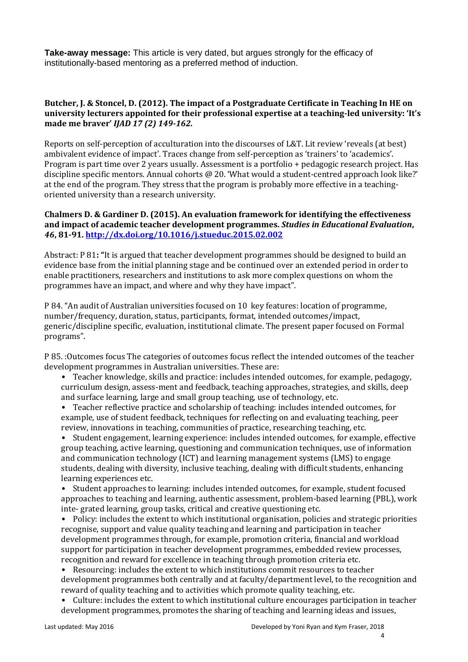**Take-away message:** This article is very dated, but argues strongly for the efficacy of institutionally-based mentoring as a preferred method of induction.

### **Butcher, J. & Stoncel, D. (2012). The impact of a Postgraduate Certificate in Teaching In HE on university lecturers appointed for their professional expertise at a teaching-led university: 'It's made me braver'** *IJAD 17 (2) 149-162.*

Reports on self-perception of acculturation into the discourses of L&T. Lit review 'reveals (at best) ambivalent evidence of impact'. Traces change from self-perception as 'trainers' to 'academics'. Program is part time over 2 years usually. Assessment is a portfolio + pedagogic research project. Has discipline specific mentors. Annual cohorts @ 20. 'What would a student-centred approach look like?' at the end of the program. They stress that the program is probably more effective in a teachingoriented university than a research university.

### **Chalmers D. & Gardiner D. (2015). An evaluation framework for identifying the effectiveness and impact of academic teacher development programmes.** *Studies in Educational Evaluation***,**  *46***, 81-91.<http://dx.doi.org/10.1016/j.stueduc.2015.02.002>**

Abstract: P 81**: "**It is argued that teacher development programmes should be designed to build an evidence base from the initial planning stage and be continued over an extended period in order to enable practitioners, researchers and institutions to ask more complex questions on whom the programmes have an impact, and where and why they have impact".

P 84. "An audit of Australian universities focused on 10 key features: location of programme, number/frequency, duration, status, participants, format, intended outcomes/impact, generic/discipline specific, evaluation, institutional climate. The present paper focused on Formal programs".

P 85. :Outcomes focus The categories of outcomes focus reflect the intended outcomes of the teacher development programmes in Australian universities. These are:

- Teacher knowledge, skills and practice: includes intended outcomes, for example, pedagogy, curriculum design, assess-ment and feedback, teaching approaches, strategies, and skills, deep and surface learning, large and small group teaching, use of technology, etc.
- Teacher reflective practice and scholarship of teaching: includes intended outcomes, for example, use of student feedback, techniques for reflecting on and evaluating teaching, peer review, innovations in teaching, communities of practice, researching teaching, etc.

• Student engagement, learning experience: includes intended outcomes, for example, effective group teaching, active learning, questioning and communication techniques, use of information and communication technology (ICT) and learning management systems (LMS) to engage students, dealing with diversity, inclusive teaching, dealing with difficult students, enhancing learning experiences etc.

• Student approaches to learning: includes intended outcomes, for example, student focused approaches to teaching and learning, authentic assessment, problem-based learning (PBL), work inte- grated learning, group tasks, critical and creative questioning etc.

• Policy: includes the extent to which institutional organisation, policies and strategic priorities recognise, support and value quality teaching and learning and participation in teacher development programmes through, for example, promotion criteria, financial and workload support for participation in teacher development programmes, embedded review processes, recognition and reward for excellence in teaching through promotion criteria etc.

• Resourcing: includes the extent to which institutions commit resources to teacher development programmes both centrally and at faculty/department level, to the recognition and reward of quality teaching and to activities which promote quality teaching, etc.

• Culture: includes the extent to which institutional culture encourages participation in teacher development programmes, promotes the sharing of teaching and learning ideas and issues,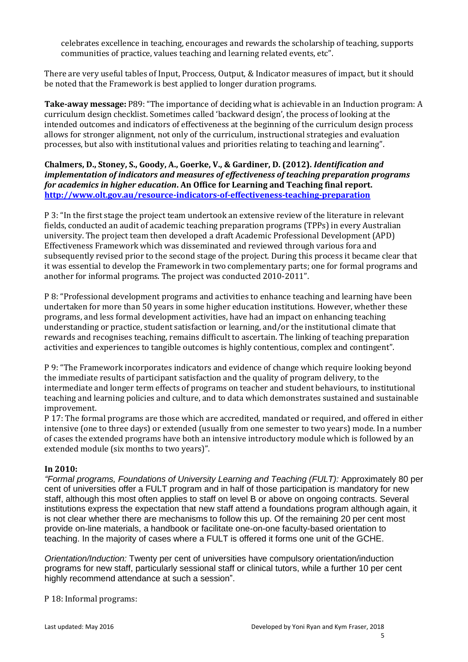celebrates excellence in teaching, encourages and rewards the scholarship of teaching, supports communities of practice, values teaching and learning related events, etc".

There are very useful tables of Input, Proccess, Output, & Indicator measures of impact, but it should be noted that the Framework is best applied to longer duration programs.

**Take-away message:** P89: "The importance of deciding what is achievable in an Induction program: A curriculum design checklist. Sometimes called 'backward design', the process of looking at the intended outcomes and indicators of effectiveness at the beginning of the curriculum design process allows for stronger alignment, not only of the curriculum, instructional strategies and evaluation processes, but also with institutional values and priorities relating to teaching and learning".

# **Chalmers, D., Stoney, S., Goody, A., Goerke, V., & Gardiner, D. (2012).** *Identification and implementation of indicators and measures of effectiveness of teaching preparation programs for academics in higher education***. An Office for Learning and Teaching final report. <http://www.olt.gov.au/resource-indicators-of-effectiveness-teaching-preparation>**

P 3: "In the first stage the project team undertook an extensive review of the literature in relevant fields, conducted an audit of academic teaching preparation programs (TPPs) in every Australian university. The project team then developed a draft Academic Professional Development (APD) Effectiveness Framework which was disseminated and reviewed through various fora and subsequently revised prior to the second stage of the project. During this process it became clear that it was essential to develop the Framework in two complementary parts; one for formal programs and another for informal programs. The project was conducted 2010-2011".

P 8: "Professional development programs and activities to enhance teaching and learning have been undertaken for more than 50 years in some higher education institutions. However, whether these programs, and less formal development activities, have had an impact on enhancing teaching understanding or practice, student satisfaction or learning, and/or the institutional climate that rewards and recognises teaching, remains difficult to ascertain. The linking of teaching preparation activities and experiences to tangible outcomes is highly contentious, complex and contingent".

P 9: "The Framework incorporates indicators and evidence of change which require looking beyond the immediate results of participant satisfaction and the quality of program delivery, to the intermediate and longer term effects of programs on teacher and student behaviours, to institutional teaching and learning policies and culture, and to data which demonstrates sustained and sustainable improvement.

P 17: The formal programs are those which are accredited, mandated or required, and offered in either intensive (one to three days) or extended (usually from one semester to two years) mode. In a number of cases the extended programs have both an intensive introductory module which is followed by an extended module (six months to two years)".

# **In 2010:**

*"Formal programs, Foundations of University Learning and Teaching (FULT):* Approximately 80 per cent of universities offer a FULT program and in half of those participation is mandatory for new staff, although this most often applies to staff on level B or above on ongoing contracts. Several institutions express the expectation that new staff attend a foundations program although again, it is not clear whether there are mechanisms to follow this up. Of the remaining 20 per cent most provide on-line materials, a handbook or facilitate one-on-one faculty-based orientation to teaching. In the majority of cases where a FULT is offered it forms one unit of the GCHE.

*Orientation/Induction:* Twenty per cent of universities have compulsory orientation/induction programs for new staff, particularly sessional staff or clinical tutors, while a further 10 per cent highly recommend attendance at such a session".

P 18: Informal programs: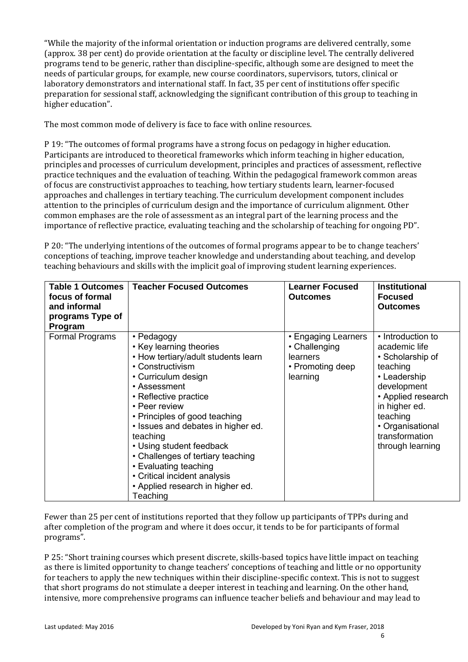"While the majority of the informal orientation or induction programs are delivered centrally, some (approx. 38 per cent) do provide orientation at the faculty or discipline level. The centrally delivered programs tend to be generic, rather than discipline-specific, although some are designed to meet the needs of particular groups, for example, new course coordinators, supervisors, tutors, clinical or laboratory demonstrators and international staff. In fact, 35 per cent of institutions offer specific preparation for sessional staff, acknowledging the significant contribution of this group to teaching in higher education".

The most common mode of delivery is face to face with online resources.

P 19: "The outcomes of formal programs have a strong focus on pedagogy in higher education. Participants are introduced to theoretical frameworks which inform teaching in higher education, principles and processes of curriculum development, principles and practices of assessment, reflective practice techniques and the evaluation of teaching. Within the pedagogical framework common areas of focus are constructivist approaches to teaching, how tertiary students learn, learner-focused approaches and challenges in tertiary teaching. The curriculum development component includes attention to the principles of curriculum design and the importance of curriculum alignment. Other common emphases are the role of assessment as an integral part of the learning process and the importance of reflective practice, evaluating teaching and the scholarship of teaching for ongoing PD".

P 20: "The underlying intentions of the outcomes of formal programs appear to be to change teachers' conceptions of teaching, improve teacher knowledge and understanding about teaching, and develop teaching behaviours and skills with the implicit goal of improving student learning experiences.

| <b>Table 1 Outcomes</b><br>focus of formal<br>and informal<br>programs Type of<br>Program | <b>Teacher Focused Outcomes</b>                                                                                                                                                                                                                                                                                                                                                                                                                | <b>Learner Focused</b><br><b>Outcomes</b>                                        | <b>Institutional</b><br><b>Focused</b><br><b>Outcomes</b>                                                                                                                                                      |
|-------------------------------------------------------------------------------------------|------------------------------------------------------------------------------------------------------------------------------------------------------------------------------------------------------------------------------------------------------------------------------------------------------------------------------------------------------------------------------------------------------------------------------------------------|----------------------------------------------------------------------------------|----------------------------------------------------------------------------------------------------------------------------------------------------------------------------------------------------------------|
| Formal Programs                                                                           | • Pedagogy<br>• Key learning theories<br>• How tertiary/adult students learn<br>• Constructivism<br>• Curriculum design<br>• Assessment<br>• Reflective practice<br>• Peer review<br>• Principles of good teaching<br>• Issues and debates in higher ed.<br>teaching<br>• Using student feedback<br>• Challenges of tertiary teaching<br>• Evaluating teaching<br>• Critical incident analysis<br>• Applied research in higher ed.<br>Teaching | • Engaging Learners<br>• Challenging<br>learners<br>• Promoting deep<br>learning | • Introduction to<br>academic life<br>• Scholarship of<br>teaching<br>• Leadership<br>development<br>• Applied research<br>in higher ed.<br>teaching<br>• Organisational<br>transformation<br>through learning |

Fewer than 25 per cent of institutions reported that they follow up participants of TPPs during and after completion of the program and where it does occur, it tends to be for participants of formal programs".

P 25: "Short training courses which present discrete, skills-based topics have little impact on teaching as there is limited opportunity to change teachers' conceptions of teaching and little or no opportunity for teachers to apply the new techniques within their discipline-specific context. This is not to suggest that short programs do not stimulate a deeper interest in teaching and learning. On the other hand, intensive, more comprehensive programs can influence teacher beliefs and behaviour and may lead to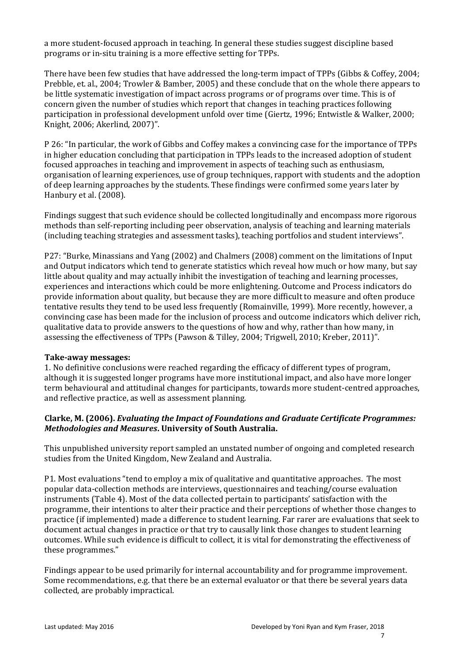a more student-focused approach in teaching. In general these studies suggest discipline based programs or in-situ training is a more effective setting for TPPs.

There have been few studies that have addressed the long-term impact of TPPs (Gibbs & Coffey, 2004; Prebble, et. al., 2004; Trowler & Bamber, 2005) and these conclude that on the whole there appears to be little systematic investigation of impact across programs or of programs over time. This is of concern given the number of studies which report that changes in teaching practices following participation in professional development unfold over time (Giertz, 1996; Entwistle & Walker, 2000; Knight, 2006; Akerlind, 2007)".

P 26: "In particular, the work of Gibbs and Coffey makes a convincing case for the importance of TPPs in higher education concluding that participation in TPPs leads to the increased adoption of student focused approaches in teaching and improvement in aspects of teaching such as enthusiasm, organisation of learning experiences, use of group techniques, rapport with students and the adoption of deep learning approaches by the students. These findings were confirmed some years later by Hanbury et al. (2008).

Findings suggest that such evidence should be collected longitudinally and encompass more rigorous methods than self-reporting including peer observation, analysis of teaching and learning materials (including teaching strategies and assessment tasks), teaching portfolios and student interviews".

P27: "Burke, Minassians and Yang (2002) and Chalmers (2008) comment on the limitations of Input and Output indicators which tend to generate statistics which reveal how much or how many, but say little about quality and may actually inhibit the investigation of teaching and learning processes, experiences and interactions which could be more enlightening. Outcome and Process indicators do provide information about quality, but because they are more difficult to measure and often produce tentative results they tend to be used less frequently (Romainville, 1999). More recently, however, a convincing case has been made for the inclusion of process and outcome indicators which deliver rich, qualitative data to provide answers to the questions of how and why, rather than how many, in assessing the effectiveness of TPPs (Pawson & Tilley, 2004; Trigwell, 2010; Kreber, 2011)".

#### **Take-away messages:**

1. No definitive conclusions were reached regarding the efficacy of different types of program, although it is suggested longer programs have more institutional impact, and also have more longer term behavioural and attitudinal changes for participants, towards more student-centred approaches, and reflective practice, as well as assessment planning.

# **Clarke, M. (2006).** *Evaluating the Impact of Foundations and Graduate Certificate Programmes: Methodologies and Measures***. University of South Australia.**

This unpublished university report sampled an unstated number of ongoing and completed research studies from the United Kingdom, New Zealand and Australia.

P1. Most evaluations "tend to employ a mix of qualitative and quantitative approaches. The most popular data-collection methods are interviews, questionnaires and teaching/course evaluation instruments (Table 4). Most of the data collected pertain to participants' satisfaction with the programme, their intentions to alter their practice and their perceptions of whether those changes to practice (if implemented) made a difference to student learning. Far rarer are evaluations that seek to document actual changes in practice or that try to causally link those changes to student learning outcomes. While such evidence is difficult to collect, it is vital for demonstrating the effectiveness of these programmes."

Findings appear to be used primarily for internal accountability and for programme improvement. Some recommendations, e.g. that there be an external evaluator or that there be several years data collected, are probably impractical.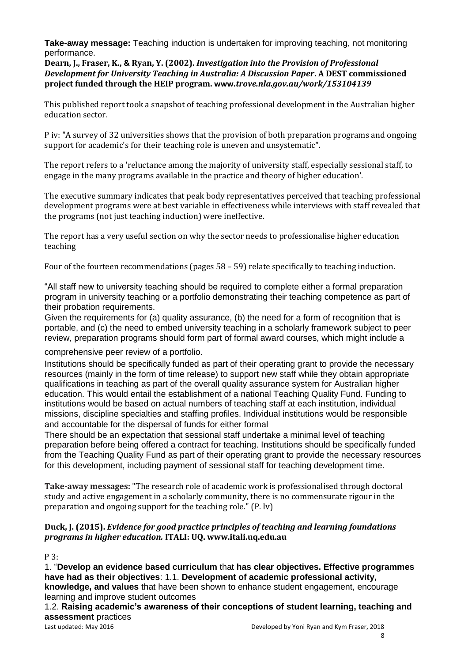**Take-away message:** Teaching induction is undertaken for improving teaching, not monitoring performance.

**Dearn, J., Fraser, K., & Ryan, Y. (2002).** *Investigation into the Provision of Professional Development for University Teaching in Australia: A Discussion Paper***. A DEST commissioned project funded through the HEIP program. www.***trove.nla.gov.au/work/153104139*

This published report took a snapshot of teaching professional development in the Australian higher education sector.

P iv: "A survey of 32 universities shows that the provision of both preparation programs and ongoing support for academic's for their teaching role is uneven and unsystematic".

The report refers to a 'reluctance among the majority of university staff, especially sessional staff, to engage in the many programs available in the practice and theory of higher education'.

The executive summary indicates that peak body representatives perceived that teaching professional development programs were at best variable in effectiveness while interviews with staff revealed that the programs (not just teaching induction) were ineffective.

The report has a very useful section on why the sector needs to professionalise higher education teaching

Four of the fourteen recommendations (pages 58 – 59) relate specifically to teaching induction.

"All staff new to university teaching should be required to complete either a formal preparation program in university teaching or a portfolio demonstrating their teaching competence as part of their probation requirements.

Given the requirements for (a) quality assurance, (b) the need for a form of recognition that is portable, and (c) the need to embed university teaching in a scholarly framework subject to peer review, preparation programs should form part of formal award courses, which might include a

comprehensive peer review of a portfolio.

Institutions should be specifically funded as part of their operating grant to provide the necessary resources (mainly in the form of time release) to support new staff while they obtain appropriate qualifications in teaching as part of the overall quality assurance system for Australian higher education. This would entail the establishment of a national Teaching Quality Fund. Funding to institutions would be based on actual numbers of teaching staff at each institution, individual missions, discipline specialties and staffing profiles. Individual institutions would be responsible and accountable for the dispersal of funds for either formal

There should be an expectation that sessional staff undertake a minimal level of teaching preparation before being offered a contract for teaching. Institutions should be specifically funded from the Teaching Quality Fund as part of their operating grant to provide the necessary resources for this development, including payment of sessional staff for teaching development time.

**Take-away messages:** "The research role of academic work is professionalised through doctoral study and active engagement in a scholarly community, there is no commensurate rigour in the preparation and ongoing support for the teaching role." (P. Iv)

# **Duck, J. (2015).** *Evidence for good practice principles of teaching and learning foundations programs in higher education.* **ITALI: UQ. www.itali.uq.edu.au**

P 3:

1. "**Develop an evidence based curriculum** that **has clear objectives. Effective programmes have had as their objectives**: 1.1. **Development of academic professional activity, knowledge, and values** that have been shown to enhance student engagement, encourage learning and improve student outcomes

1.2. **Raising academic's awareness of their conceptions of student learning, teaching and assessment** practices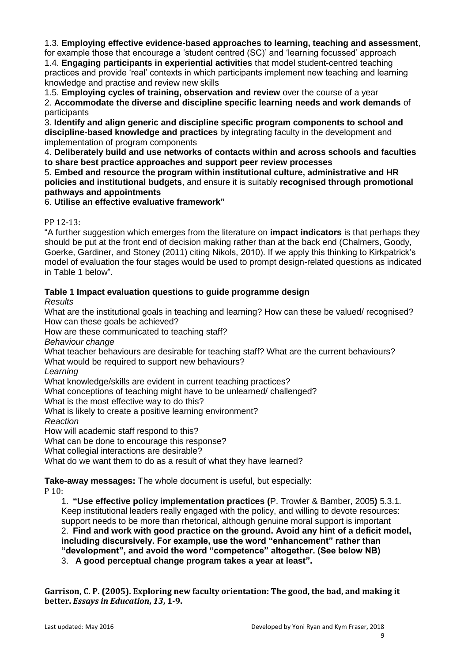1.3. **Employing effective evidence-based approaches to learning, teaching and assessment**,

for example those that encourage a 'student centred (SC)' and 'learning focussed' approach 1.4. **Engaging participants in experiential activities** that model student-centred teaching practices and provide 'real' contexts in which participants implement new teaching and learning knowledge and practise and review new skills

1.5. **Employing cycles of training, observation and review** over the course of a year 2. **Accommodate the diverse and discipline specific learning needs and work demands** of participants

3. **Identify and align generic and discipline specific program components to school and discipline-based knowledge and practices** by integrating faculty in the development and implementation of program components

4. **Deliberately build and use networks of contacts within and across schools and faculties to share best practice approaches and support peer review processes** 

5. **Embed and resource the program within institutional culture, administrative and HR policies and institutional budgets**, and ensure it is suitably **recognised through promotional pathways and appointments** 

6. **Utilise an effective evaluative framework"**

# PP 12-13:

"A further suggestion which emerges from the literature on **impact indicators** is that perhaps they should be put at the front end of decision making rather than at the back end (Chalmers, Goody, Goerke, Gardiner, and Stoney (2011) citing Nikols, 2010). If we apply this thinking to Kirkpatrick's model of evaluation the four stages would be used to prompt design-related questions as indicated in Table 1 below".

# **Table 1 Impact evaluation questions to guide programme design**

*Results* 

What are the institutional goals in teaching and learning? How can these be valued/ recognised? How can these goals be achieved?

How are these communicated to teaching staff?

*Behaviour change* 

What teacher behaviours are desirable for teaching staff? What are the current behaviours? What would be required to support new behaviours?

*Learning* 

What knowledge/skills are evident in current teaching practices?

What conceptions of teaching might have to be unlearned/ challenged?

What is the most effective way to do this?

What is likely to create a positive learning environment?

*Reaction* 

How will academic staff respond to this?

What can be done to encourage this response?

What collegial interactions are desirable?

What do we want them to do as a result of what they have learned?

**Take-away messages:** The whole document is useful, but especially:

P 10:

1. **"Use effective policy implementation practices (**P. Trowler & Bamber, 2005**)** 5.3.1. Keep institutional leaders really engaged with the policy, and willing to devote resources: support needs to be more than rhetorical, although genuine moral support is important 2. **Find and work with good practice on the ground. Avoid any hint of a deficit model, including discursively. For example, use the word "enhancement" rather than "development", and avoid the word "competence" altogether. (See below NB)**

3. **A good perceptual change program takes a year at least".**

**Garrison, C. P. (2005). Exploring new faculty orientation: The good, the bad, and making it better.** *Essays in Education***,** *13***, 1-9.**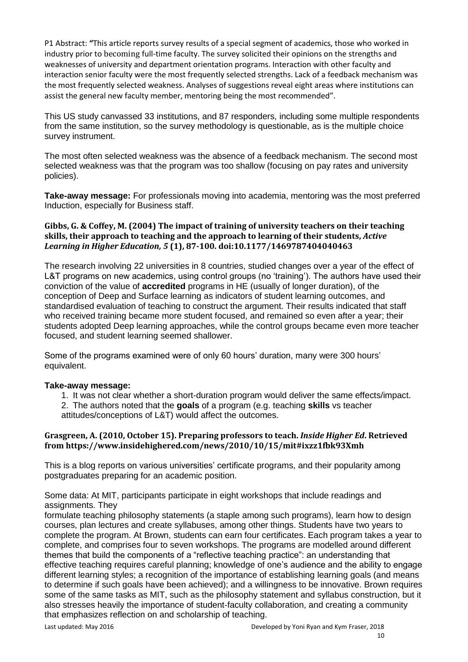P1 Abstract: **"**This article reports survey results of a special segment of academics, those who worked in industry prior to becoming full-time faculty. The survey solicited their opinions on the strengths and weaknesses of university and department orientation programs. Interaction with other faculty and interaction senior faculty were the most frequently selected strengths. Lack of a feedback mechanism was the most frequently selected weakness. Analyses of suggestions reveal eight areas where institutions can assist the general new faculty member, mentoring being the most recommended".

This US study canvassed 33 institutions, and 87 responders, including some multiple respondents from the same institution, so the survey methodology is questionable, as is the multiple choice survey instrument.

The most often selected weakness was the absence of a feedback mechanism. The second most selected weakness was that the program was too shallow (focusing on pay rates and university policies).

**Take-away message:** For professionals moving into academia, mentoring was the most preferred Induction, especially for Business staff.

### **Gibbs, G. & Coffey, M. (2004) The impact of training of university teachers on their teaching skills, their approach to teaching and the approach to learning of their students,** *Active Learning in Higher Education, 5* **(1), 87-100. doi:10.1177/1469787404040463**

The research involving 22 universities in 8 countries, studied changes over a year of the effect of L&T programs on new academics, using control groups (no 'training'). The authors have used their conviction of the value of **accredited** programs in HE (usually of longer duration), of the conception of Deep and Surface learning as indicators of student learning outcomes, and standardised evaluation of teaching to construct the argument. Their results indicated that staff who received training became more student focused, and remained so even after a year; their students adopted Deep learning approaches, while the control groups became even more teacher focused, and student learning seemed shallower.

Some of the programs examined were of only 60 hours' duration, many were 300 hours' equivalent.

# **Take-away message:**

- 1. It was not clear whether a short-duration program would deliver the same effects/impact.
- 2. The authors noted that the **goals** of a program (e.g. teaching **skills** vs teacher attitudes/conceptions of L&T) would affect the outcomes.

### **Grasgreen, A. (2010, October 15). Preparing professors to teach.** *Inside Higher Ed***. Retrieved from https://www.insidehighered.com/news/2010/10/15/mit#ixzz1fbk93Xmh**

This is a blog reports on various universities' certificate programs, and their popularity among postgraduates preparing for an academic position.

Some data: At MIT, participants participate in eight workshops that include readings and assignments. They

formulate teaching philosophy statements (a staple among such programs), learn how to design courses, plan lectures and create syllabuses, among other things. Students have two years to complete the program. At Brown, students can earn four certificates. Each program takes a year to complete, and comprises four to seven workshops. The programs are modelled around different themes that build the components of a "reflective teaching practice": an understanding that effective teaching requires careful planning; knowledge of one's audience and the ability to engage different learning styles; a recognition of the importance of establishing learning goals (and means to determine if such goals have been achieved); and a willingness to be innovative. Brown requires some of the same tasks as MIT, such as the philosophy statement and syllabus construction, but it also stresses heavily the importance of student-faculty collaboration, and creating a community that emphasizes reflection on and scholarship of teaching.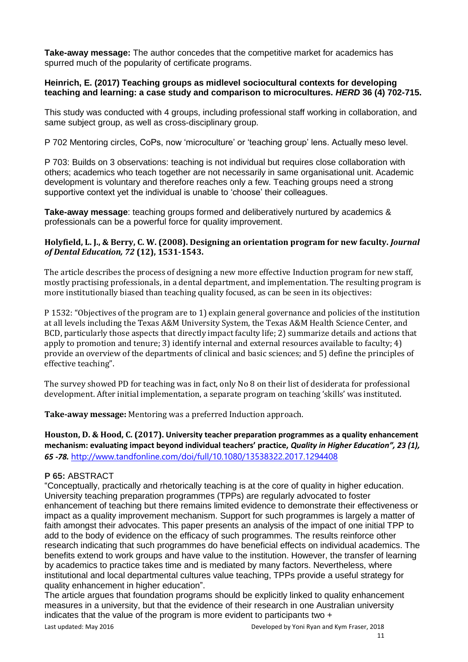**Take-away message:** The author concedes that the competitive market for academics has spurred much of the popularity of certificate programs.

# **Heinrich, E. (2017) Teaching groups as midlevel sociocultural contexts for developing teaching and learning: a case study and comparison to microcultures.** *HERD* **36 (4) 702-715.**

This study was conducted with 4 groups, including professional staff working in collaboration, and same subject group, as well as cross-disciplinary group.

P 702 Mentoring circles, CoPs, now 'microculture' or 'teaching group' lens. Actually meso level.

P 703: Builds on 3 observations: teaching is not individual but requires close collaboration with others; academics who teach together are not necessarily in same organisational unit. Academic development is voluntary and therefore reaches only a few. Teaching groups need a strong supportive context yet the individual is unable to 'choose' their colleagues.

**Take-away message**: teaching groups formed and deliberatively nurtured by academics & professionals can be a powerful force for quality improvement.

### **Holyfield, L. J., & Berry, C. W. (2008). Designing an orientation program for new faculty.** *Journal of Dental Education, 72* **(12), 1531-1543.**

The article describes the process of designing a new more effective Induction program for new staff, mostly practising professionals, in a dental department, and implementation. The resulting program is more institutionally biased than teaching quality focused, as can be seen in its objectives:

P 1532: "Objectives of the program are to 1) explain general governance and policies of the institution at all levels including the Texas A&M University System, the Texas A&M Health Science Center, and BCD, particularly those aspects that directly impact faculty life; 2) summarize details and actions that apply to promotion and tenure; 3) identify internal and external resources available to faculty; 4) provide an overview of the departments of clinical and basic sciences; and 5) define the principles of effective teaching".

The survey showed PD for teaching was in fact, only No 8 on their list of desiderata for professional development. After initial implementation, a separate program on teaching 'skills' was instituted.

**Take-away message:** Mentoring was a preferred Induction approach.

**Houston, D. & Hood, C. (2017). University teacher preparation programmes as a quality enhancement mechanism: evaluating impact beyond individual teachers' practice,** *Quality in Higher Education", 23 (1), 65 -78.* <http://www.tandfonline.com/doi/full/10.1080/13538322.2017.1294408>

# **P 65:** ABSTRACT

"Conceptually, practically and rhetorically teaching is at the core of quality in higher education. University teaching preparation programmes (TPPs) are regularly advocated to foster enhancement of teaching but there remains limited evidence to demonstrate their effectiveness or impact as a quality improvement mechanism. Support for such programmes is largely a matter of faith amongst their advocates. This paper presents an analysis of the impact of one initial TPP to add to the body of evidence on the efficacy of such programmes. The results reinforce other research indicating that such programmes do have beneficial effects on individual academics. The benefits extend to work groups and have value to the institution. However, the transfer of learning by academics to practice takes time and is mediated by many factors. Nevertheless, where institutional and local departmental cultures value teaching, TPPs provide a useful strategy for quality enhancement in higher education".

The article argues that foundation programs should be explicitly linked to quality enhancement measures in a university, but that the evidence of their research in one Australian university indicates that the value of the program is more evident to participants two +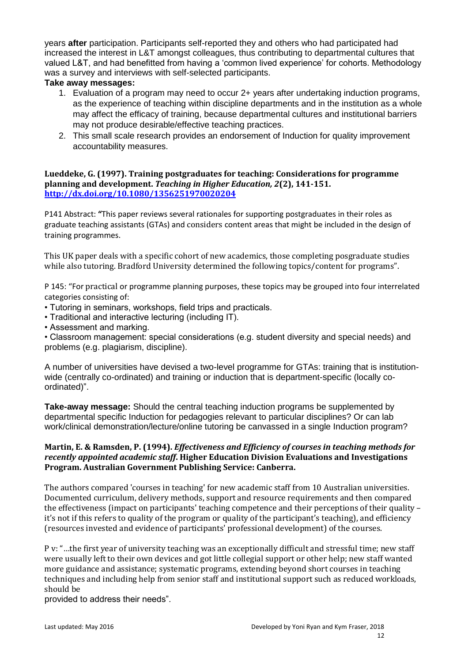years **after** participation. Participants self-reported they and others who had participated had increased the interest in L&T amongst colleagues, thus contributing to departmental cultures that valued L&T, and had benefitted from having a 'common lived experience' for cohorts. Methodology was a survey and interviews with self-selected participants.

# **Take away messages:**

- 1. Evaluation of a program may need to occur 2+ years after undertaking induction programs, as the experience of teaching within discipline departments and in the institution as a whole may affect the efficacy of training, because departmental cultures and institutional barriers may not produce desirable/effective teaching practices.
- 2. This small scale research provides an endorsement of Induction for quality improvement accountability measures.

### **Lueddeke, G. (1997). Training postgraduates for teaching: Considerations for programme planning and development.** *Teaching in Higher Education, 2***(2), 141-151. <http://dx.doi.org/10.1080/1356251970020204>**

P141 Abstract: **"**This paper reviews several rationales for supporting postgraduates in their roles as graduate teaching assistants (GTAs) and considers content areas that might be included in the design of training programmes.

This UK paper deals with a specific cohort of new academics, those completing posgraduate studies while also tutoring. Bradford University determined the following topics/content for programs".

P 145: "For practical or programme planning purposes, these topics may be grouped into four interrelated categories consisting of:

• Tutoring in seminars, workshops, field trips and practicals.

- Traditional and interactive lecturing (including IT).
- Assessment and marking.

• Classroom management: special considerations (e.g. student diversity and special needs) and problems (e.g. plagiarism, discipline).

A number of universities have devised a two-level programme for GTAs: training that is institutionwide (centrally co-ordinated) and training or induction that is department-specific (locally coordinated)".

**Take-away message:** Should the central teaching induction programs be supplemented by departmental specific Induction for pedagogies relevant to particular disciplines? Or can lab work/clinical demonstration/lecture/online tutoring be canvassed in a single Induction program?

# **Martin, E. & Ramsden, P. (1994).** *Effectiveness and Efficiency of courses in teaching methods for recently appointed academic staff***. Higher Education Division Evaluations and Investigations Program. Australian Government Publishing Service: Canberra.**

The authors compared 'courses in teaching' for new academic staff from 10 Australian universities. Documented curriculum, delivery methods, support and resource requirements and then compared the effectiveness (impact on participants' teaching competence and their perceptions of their quality – it's not if this refers to quality of the program or quality of the participant's teaching), and efficiency (resources invested and evidence of participants' professional development) of the courses.

P v: "…the first year of university teaching was an exceptionally difficult and stressful time; new staff were usually left to their own devices and got little collegial support or other help; new staff wanted more guidance and assistance; systematic programs, extending beyond short courses in teaching techniques and including help from senior staff and institutional support such as reduced workloads, should be

provided to address their needs".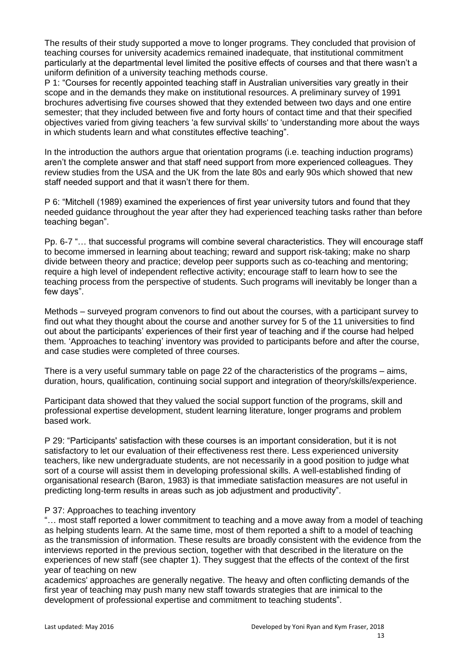The results of their study supported a move to longer programs. They concluded that provision of teaching courses for university academics remained inadequate, that institutional commitment particularly at the departmental level limited the positive effects of courses and that there wasn't a uniform definition of a university teaching methods course.

P 1: "Courses for recently appointed teaching staff in Australian universities vary greatly in their scope and in the demands they make on institutional resources. A preliminary survey of 1991 brochures advertising five courses showed that they extended between two days and one entire semester; that they included between five and forty hours of contact time and that their specified objectives varied from giving teachers 'a few survival skills' to 'understanding more about the ways in which students learn and what constitutes effective teaching".

In the introduction the authors argue that orientation programs (i.e. teaching induction programs) aren't the complete answer and that staff need support from more experienced colleagues. They review studies from the USA and the UK from the late 80s and early 90s which showed that new staff needed support and that it wasn't there for them.

P 6: "Mitchell (1989) examined the experiences of first year university tutors and found that they needed guidance throughout the year after they had experienced teaching tasks rather than before teaching began".

Pp. 6-7 "… that successful programs will combine several characteristics. They will encourage staff to become immersed in learning about teaching; reward and support risk-taking; make no sharp divide between theory and practice; develop peer supports such as co-teaching and mentoring; require a high level of independent reflective activity; encourage staff to learn how to see the teaching process from the perspective of students. Such programs will inevitably be longer than a few days".

Methods – surveyed program convenors to find out about the courses, with a participant survey to find out what they thought about the course and another survey for 5 of the 11 universities to find out about the participants' experiences of their first year of teaching and if the course had helped them. 'Approaches to teaching' inventory was provided to participants before and after the course, and case studies were completed of three courses.

There is a very useful summary table on page 22 of the characteristics of the programs – aims, duration, hours, qualification, continuing social support and integration of theory/skills/experience.

Participant data showed that they valued the social support function of the programs, skill and professional expertise development, student learning literature, longer programs and problem based work.

P 29: "Participants' satisfaction with these courses is an important consideration, but it is not satisfactory to let our evaluation of their effectiveness rest there. Less experienced university teachers, like new undergraduate students, are not necessarily in a good position to judge what sort of a course will assist them in developing professional skills. A well-established finding of organisational research (Baron, 1983) is that immediate satisfaction measures are not useful in predicting long-term results in areas such as job adjustment and productivity".

# P 37: Approaches to teaching inventory

"… most staff reported a lower commitment to teaching and a move away from a model of teaching as helping students learn. At the same time, most of them reported a shift to a model of teaching as the transmission of information. These results are broadly consistent with the evidence from the interviews reported in the previous section, together with that described in the literature on the experiences of new staff (see chapter 1). They suggest that the effects of the context of the first year of teaching on new

academics' approaches are generally negative. The heavy and often conflicting demands of the first year of teaching may push many new staff towards strategies that are inimical to the development of professional expertise and commitment to teaching students".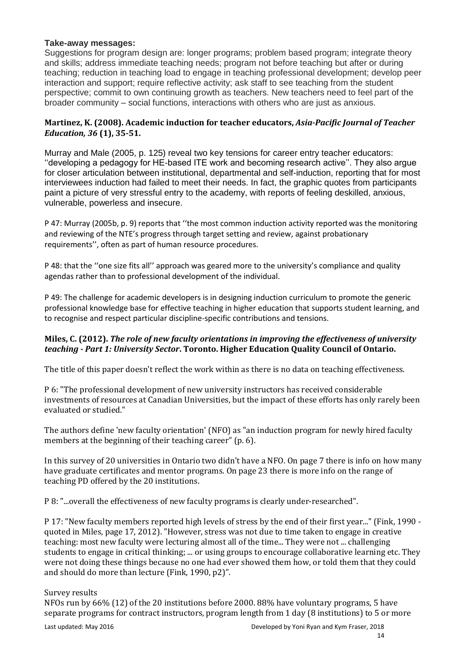# **Take-away messages:**

Suggestions for program design are: longer programs; problem based program; integrate theory and skills; address immediate teaching needs; program not before teaching but after or during teaching; reduction in teaching load to engage in teaching professional development; develop peer interaction and support; require reflective activity; ask staff to see teaching from the student perspective; commit to own continuing growth as teachers. New teachers need to feel part of the broader community – social functions, interactions with others who are just as anxious.

# **Martinez, K. (2008). Academic induction for teacher educators,** *Asia-Pacific Journal of Teacher Education, 36* **(1), 35-51.**

Murray and Male (2005, p. 125) reveal two key tensions for career entry teacher educators: ''developing a pedagogy for HE-based ITE work and becoming research active''. They also argue for closer articulation between institutional, departmental and self-induction, reporting that for most interviewees induction had failed to meet their needs. In fact, the graphic quotes from participants paint a picture of very stressful entry to the academy, with reports of feeling deskilled, anxious, vulnerable, powerless and insecure.

P 47: Murray (2005b, p. 9) reports that ''the most common induction activity reported was the monitoring and reviewing of the NTE's progress through target setting and review, against probationary requirements'', often as part of human resource procedures.

P 48: that the ''one size fits all'' approach was geared more to the university's compliance and quality agendas rather than to professional development of the individual.

P 49: The challenge for academic developers is in designing induction curriculum to promote the generic professional knowledge base for effective teaching in higher education that supports student learning, and to recognise and respect particular discipline-specific contributions and tensions.

# **Miles, C. (2012).** *The role of new faculty orientations in improving the effectiveness of university teaching - Part 1: University Sector***. Toronto. Higher Education Quality Council of Ontario.**

The title of this paper doesn't reflect the work within as there is no data on teaching effectiveness.

P 6: "The professional development of new university instructors has received considerable investments of resources at Canadian Universities, but the impact of these efforts has only rarely been evaluated or studied."

The authors define 'new faculty orientation' (NFO) as "an induction program for newly hired faculty members at the beginning of their teaching career" (p. 6).

In this survey of 20 universities in Ontario two didn't have a NFO. On page 7 there is info on how many have graduate certificates and mentor programs. On page 23 there is more info on the range of teaching PD offered by the 20 institutions.

P 8: "...overall the effectiveness of new faculty programs is clearly under-researched".

P 17: "New faculty members reported high levels of stress by the end of their first year..." (Fink, 1990 quoted in Miles, page 17, 2012). "However, stress was not due to time taken to engage in creative teaching: most new faculty were lecturing almost all of the time... They were not ... challenging students to engage in critical thinking; ... or using groups to encourage collaborative learning etc. They were not doing these things because no one had ever showed them how, or told them that they could and should do more than lecture (Fink, 1990, p2)".

#### Survey results

NFOs run by 66% (12) of the 20 institutions before 2000. 88% have voluntary programs, 5 have separate programs for contract instructors, program length from 1 day (8 institutions) to 5 or more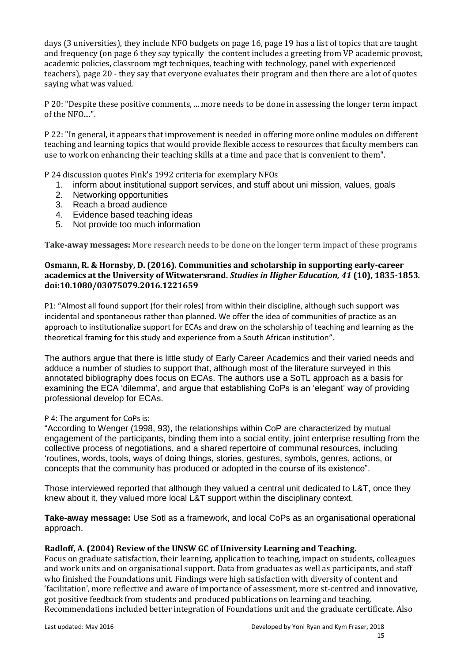days (3 universities), they include NFO budgets on page 16, page 19 has a list of topics that are taught and frequency (on page 6 they say typically the content includes a greeting from VP academic provost, academic policies, classroom mgt techniques, teaching with technology, panel with experienced teachers), page 20 - they say that everyone evaluates their program and then there are a lot of quotes saying what was valued.

P 20: "Despite these positive comments, ... more needs to be done in assessing the longer term impact of the NFO....".

P 22: "In general, it appears that improvement is needed in offering more online modules on different teaching and learning topics that would provide flexible access to resources that faculty members can use to work on enhancing their teaching skills at a time and pace that is convenient to them".

P 24 discussion quotes Fink's 1992 criteria for exemplary NFOs

- 1. inform about institutional support services, and stuff about uni mission, values, goals
- 2. Networking opportunities
- 3. Reach a broad audience
- 4. Evidence based teaching ideas
- 5. Not provide too much information

**Take-away messages:** More research needs to be done on the longer term impact of these programs

### **Osmann, R. & Hornsby, D. (2016). Communities and scholarship in supporting early-career academics at the University of Witwatersrand.** *Studies in Higher Education, 41* **(10), 1835-1853***.*  **doi:10.1080/03075079.2016.1221659**

P1: "Almost all found support (for their roles) from within their discipline, although such support was incidental and spontaneous rather than planned. We offer the idea of communities of practice as an approach to institutionalize support for ECAs and draw on the scholarship of teaching and learning as the theoretical framing for this study and experience from a South African institution".

The authors argue that there is little study of Early Career Academics and their varied needs and adduce a number of studies to support that, although most of the literature surveyed in this annotated bibliography does focus on ECAs. The authors use a SoTL approach as a basis for examining the ECA 'dilemma', and argue that establishing CoPs is an 'elegant' way of providing professional develop for ECAs.

#### P 4: The argument for CoPs is:

"According to Wenger (1998, 93), the relationships within CoP are characterized by mutual engagement of the participants, binding them into a social entity, joint enterprise resulting from the collective process of negotiations, and a shared repertoire of communal resources, including 'routines, words, tools, ways of doing things, stories, gestures, symbols, genres, actions, or concepts that the community has produced or adopted in the course of its existence".

Those interviewed reported that although they valued a central unit dedicated to L&T, once they knew about it, they valued more local L&T support within the disciplinary context.

**Take-away message:** Use Sotl as a framework, and local CoPs as an organisational operational approach.

#### **Radloff, A. (2004) Review of the UNSW GC of University Learning and Teaching.**

Focus on graduate satisfaction, their learning, application to teaching, impact on students, colleagues and work units and on organisational support. Data from graduates as well as participants, and staff who finished the Foundations unit. Findings were high satisfaction with diversity of content and 'facilitation', more reflective and aware of importance of assessment, more st-centred and innovative, got positive feedback from students and produced publications on learning and teaching. Recommendations included better integration of Foundations unit and the graduate certificate. Also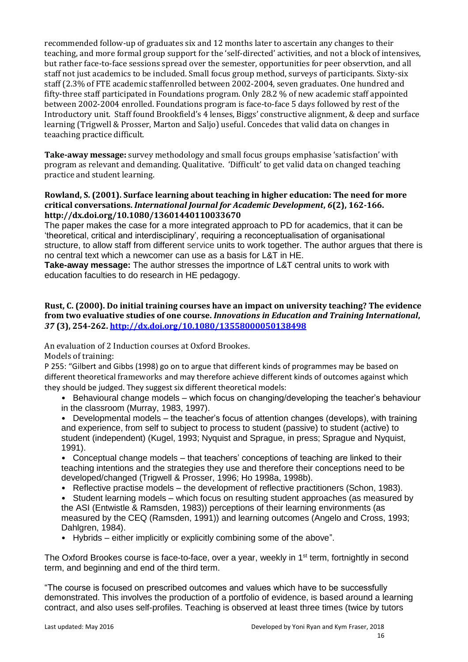recommended follow-up of graduates six and 12 months later to ascertain any changes to their teaching, and more formal group support for the 'self-directed' activities, and not a block of intensives, but rather face-to-face sessions spread over the semester, opportunities for peer observtion, and all staff not just academics to be included. Small focus group method, surveys of participants. Sixty-six staff (2.3% of FTE academic staffenrolled between 2002-2004, seven graduates. One hundred and fifty-three staff participated in Foundations program. Only 28.2 % of new academic staff appointed between 2002-2004 enrolled. Foundations program is face-to-face 5 days followed by rest of the Introductory unit. Staff found Brookfield's 4 lenses, Biggs' constructive alignment, & deep and surface learning (Trigwell & Prosser, Marton and Saljo) useful. Concedes that valid data on changes in teaaching practice difficult.

**Take-away message:** survey methodology and small focus groups emphasise 'satisfaction' with program as relevant and demanding. Qualitative. 'Difficult' to get valid data on changed teaching practice and student learning.

### **Rowland, S. (2001). Surface learning about teaching in higher education: The need for more critical conversations.** *International Journal for Academic Development***,** *6***(2), 162-166. http://dx.doi.org/10.1080/13601440110033670**

The paper makes the case for a more integrated approach to PD for academics, that it can be 'theoretical, critical and interdisciplinary', requiring a reconceptualisation of organisational structure, to allow staff from different service units to work together. The author argues that there is no central text which a newcomer can use as a basis for L&T in HE.

**Take-away message:** The author stresses the importnce of L&T central units to work with education faculties to do research in HE pedagogy.

### **Rust, C. (2000). Do initial training courses have an impact on university teaching? The evidence from two evaluative studies of one course.** *Innovations in Education and Training International***,**  *37* **(3), 254-262.<http://dx.doi.org/10.1080/13558000050138498>**

An evaluation of 2 Induction courses at Oxford Brookes.

Models of training:

P 255: "Gilbert and Gibbs (1998) go on to argue that different kinds of programmes may be based on different theoretical frameworks and may therefore achieve different kinds of outcomes against which they should be judged. They suggest six different theoretical models:

• Behavioural change models – which focus on changing/developing the teacher's behaviour in the classroom (Murray, 1983, 1997).

• Developmental models – the teacher's focus of attention changes (develops), with training and experience, from self to subject to process to student (passive) to student (active) to student (independent) (Kugel, 1993; Nyquist and Sprague, in press; Sprague and Nyquist, 1991).

• Conceptual change models – that teachers' conceptions of teaching are linked to their teaching intentions and the strategies they use and therefore their conceptions need to be developed/changed (Trigwell & Prosser, 1996; Ho 1998a, 1998b).

• Reflective practise models – the development of reflective practitioners (Schon, 1983).

• Student learning models – which focus on resulting student approaches (as measured by the ASI (Entwistle & Ramsden, 1983)) perceptions of their learning environments (as measured by the CEQ (Ramsden, 1991)) and learning outcomes (Angelo and Cross, 1993; Dahlgren, 1984).

• Hybrids – either implicitly or explicitly combining some of the above".

The Oxford Brookes course is face-to-face, over a year, weekly in  $1<sup>st</sup>$  term, fortnightly in second term, and beginning and end of the third term.

"The course is focused on prescribed outcomes and values which have to be successfully demonstrated. This involves the production of a portfolio of evidence, is based around a learning contract, and also uses self-profiles. Teaching is observed at least three times (twice by tutors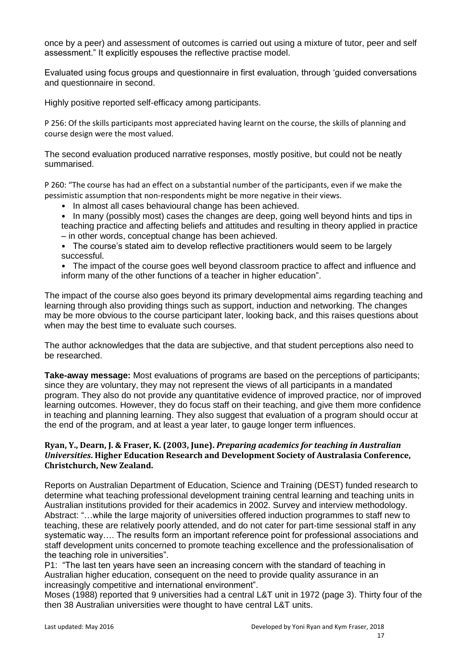once by a peer) and assessment of outcomes is carried out using a mixture of tutor, peer and self assessment." It explicitly espouses the reflective practise model.

Evaluated using focus groups and questionnaire in first evaluation, through 'guided conversations and questionnaire in second.

Highly positive reported self-efficacy among participants.

P 256: Of the skills participants most appreciated having learnt on the course, the skills of planning and course design were the most valued.

The second evaluation produced narrative responses, mostly positive, but could not be neatly summarised.

P 260: "The course has had an effect on a substantial number of the participants, even if we make the pessimistic assumption that non-respondents might be more negative in their views.

- In almost all cases behavioural change has been achieved.
- In many (possibly most) cases the changes are deep, going well beyond hints and tips in teaching practice and affecting beliefs and attitudes and resulting in theory applied in practice – in other words, conceptual change has been achieved.
- The course's stated aim to develop reflective practitioners would seem to be largely successful.
- The impact of the course goes well beyond classroom practice to affect and influence and inform many of the other functions of a teacher in higher education".

The impact of the course also goes beyond its primary developmental aims regarding teaching and learning through also providing things such as support, induction and networking. The changes may be more obvious to the course participant later, looking back, and this raises questions about when may the best time to evaluate such courses.

The author acknowledges that the data are subjective, and that student perceptions also need to be researched.

**Take-away message:** Most evaluations of programs are based on the perceptions of participants; since they are voluntary, they may not represent the views of all participants in a mandated program. They also do not provide any quantitative evidence of improved practice, nor of improved learning outcomes. However, they do focus staff on their teaching, and give them more confidence in teaching and planning learning. They also suggest that evaluation of a program should occur at the end of the program, and at least a year later, to gauge longer term influences.

#### **Ryan, Y., Dearn, J. & Fraser, K. (2003, June).** *Preparing academics for teaching in Australian Universities***. Higher Education Research and Development Society of Australasia Conference, Christchurch, New Zealand.**

Reports on Australian Department of Education, Science and Training (DEST) funded research to determine what teaching professional development training central learning and teaching units in Australian institutions provided for their academics in 2002. Survey and interview methodology. Abstract: "…while the large majority of universities offered induction programmes to staff new to teaching, these are relatively poorly attended, and do not cater for part-time sessional staff in any systematic way…. The results form an important reference point for professional associations and staff development units concerned to promote teaching excellence and the professionalisation of the teaching role in universities".

P1: "The last ten years have seen an increasing concern with the standard of teaching in Australian higher education, consequent on the need to provide quality assurance in an increasingly competitive and international environment".

Moses (1988) reported that 9 universities had a central L&T unit in 1972 (page 3). Thirty four of the then 38 Australian universities were thought to have central L&T units.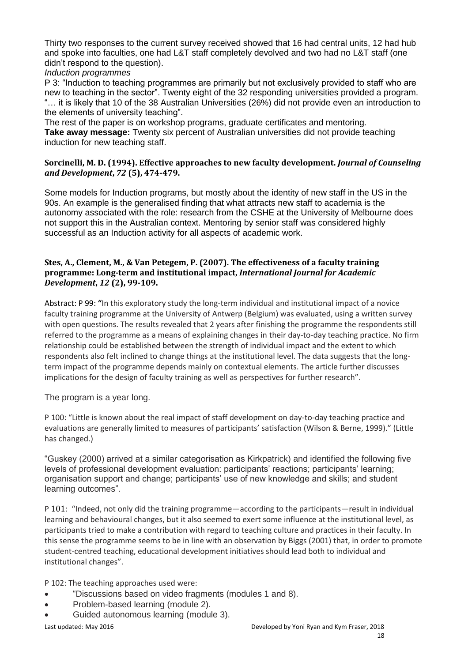Thirty two responses to the current survey received showed that 16 had central units, 12 had hub and spoke into faculties, one had L&T staff completely devolved and two had no L&T staff (one didn't respond to the question).

# *Induction programmes*

P 3: "Induction to teaching programmes are primarily but not exclusively provided to staff who are new to teaching in the sector". Twenty eight of the 32 responding universities provided a program. "… it is likely that 10 of the 38 Australian Universities (26%) did not provide even an introduction to the elements of university teaching".

The rest of the paper is on workshop programs, graduate certificates and mentoring. **Take away message:** Twenty six percent of Australian universities did not provide teaching induction for new teaching staff.

### **Sorcinelli, M. D. (1994). Effective approaches to new faculty development.** *Journal of Counseling and Development***,** *72* **(5), 474-479.**

Some models for Induction programs, but mostly about the identity of new staff in the US in the 90s. An example is the generalised finding that what attracts new staff to academia is the autonomy associated with the role: research from the CSHE at the University of Melbourne does not support this in the Australian context. Mentoring by senior staff was considered highly successful as an Induction activity for all aspects of academic work.

### **Stes, A., Clement, M., & Van Petegem, P. (2007). The effectiveness of a faculty training programme: Long‐term and institutional impact,** *International Journal for Academic Development***,** *12* **(2), 99-109.**

Abstract: P 99: **"**In this exploratory study the long-term individual and institutional impact of a novice faculty training programme at the University of Antwerp (Belgium) was evaluated, using a written survey with open questions. The results revealed that 2 years after finishing the programme the respondents still referred to the programme as a means of explaining changes in their day-to-day teaching practice. No firm relationship could be established between the strength of individual impact and the extent to which respondents also felt inclined to change things at the institutional level. The data suggests that the longterm impact of the programme depends mainly on contextual elements. The article further discusses implications for the design of faculty training as well as perspectives for further research".

The program is a year long.

P 100: "Little is known about the real impact of staff development on day-to-day teaching practice and evaluations are generally limited to measures of participants' satisfaction (Wilson & Berne, 1999)." (Little has changed.)

"Guskey (2000) arrived at a similar categorisation as Kirkpatrick) and identified the following five levels of professional development evaluation: participants' reactions; participants' learning; organisation support and change; participants' use of new knowledge and skills; and student learning outcomes".

P 101: "Indeed, not only did the training programme—according to the participants—result in individual learning and behavioural changes, but it also seemed to exert some influence at the institutional level, as participants tried to make a contribution with regard to teaching culture and practices in their faculty. In this sense the programme seems to be in line with an observation by Biggs (2001) that, in order to promote student-centred teaching, educational development initiatives should lead both to individual and institutional changes".

P 102: The teaching approaches used were:

- "Discussions based on video fragments (modules 1 and 8).
- Problem-based learning (module 2).
- Guided autonomous learning (module 3).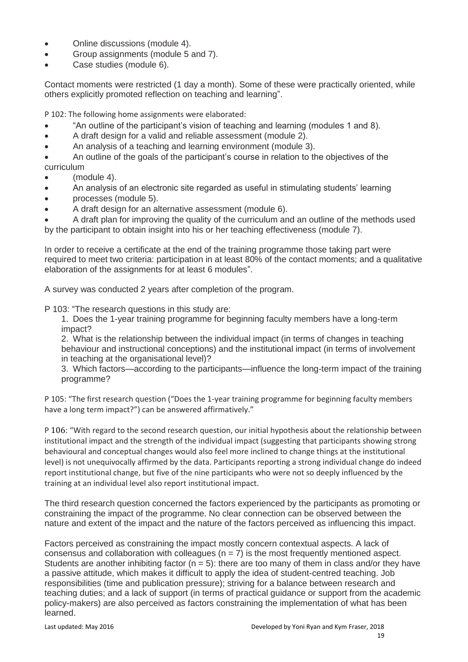- Online discussions (module 4).
- Group assignments (module 5 and 7).
- Case studies (module 6).

Contact moments were restricted (1 day a month). Some of these were practically oriented, while others explicitly promoted reflection on teaching and learning".

P 102: The following home assignments were elaborated:

- "An outline of the participant's vision of teaching and learning (modules 1 and 8).
- A draft design for a valid and reliable assessment (module 2).
- An analysis of a teaching and learning environment (module 3).

• An outline of the goals of the participant's course in relation to the objectives of the curriculum

- (module 4).
- An analysis of an electronic site regarded as useful in stimulating students' learning
- processes (module 5).
- A draft design for an alternative assessment (module 6).

• A draft plan for improving the quality of the curriculum and an outline of the methods used by the participant to obtain insight into his or her teaching effectiveness (module 7).

In order to receive a certificate at the end of the training programme those taking part were required to meet two criteria: participation in at least 80% of the contact moments; and a qualitative elaboration of the assignments for at least 6 modules".

A survey was conducted 2 years after completion of the program.

P 103: "The research questions in this study are:

1. Does the 1-year training programme for beginning faculty members have a long-term impact?

2. What is the relationship between the individual impact (in terms of changes in teaching behaviour and instructional conceptions) and the institutional impact (in terms of involvement in teaching at the organisational level)?

3. Which factors—according to the participants—influence the long-term impact of the training programme?

P 105: "The first research question ("Does the 1-year training programme for beginning faculty members have a long term impact?") can be answered affirmatively."

P 106: "With regard to the second research question, our initial hypothesis about the relationship between institutional impact and the strength of the individual impact (suggesting that participants showing strong behavioural and conceptual changes would also feel more inclined to change things at the institutional level) is not unequivocally affirmed by the data. Participants reporting a strong individual change do indeed report institutional change, but five of the nine participants who were not so deeply influenced by the training at an individual level also report institutional impact.

The third research question concerned the factors experienced by the participants as promoting or constraining the impact of the programme. No clear connection can be observed between the nature and extent of the impact and the nature of the factors perceived as influencing this impact.

Factors perceived as constraining the impact mostly concern contextual aspects. A lack of consensus and collaboration with colleagues  $(n = 7)$  is the most frequently mentioned aspect. Students are another inhibiting factor ( $n = 5$ ): there are too many of them in class and/or they have a passive attitude, which makes it difficult to apply the idea of student-centred teaching. Job responsibilities (time and publication pressure); striving for a balance between research and teaching duties; and a lack of support (in terms of practical guidance or support from the academic policy-makers) are also perceived as factors constraining the implementation of what has been learned.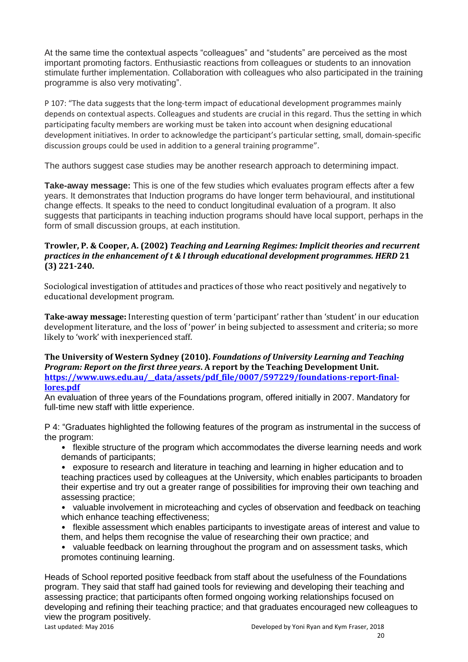At the same time the contextual aspects "colleagues" and "students" are perceived as the most important promoting factors. Enthusiastic reactions from colleagues or students to an innovation stimulate further implementation. Collaboration with colleagues who also participated in the training programme is also very motivating".

P 107: "The data suggests that the long-term impact of educational development programmes mainly depends on contextual aspects. Colleagues and students are crucial in this regard. Thus the setting in which participating faculty members are working must be taken into account when designing educational development initiatives. In order to acknowledge the participant's particular setting, small, domain-specific discussion groups could be used in addition to a general training programme".

The authors suggest case studies may be another research approach to determining impact.

**Take-away message:** This is one of the few studies which evaluates program effects after a few years. It demonstrates that Induction programs do have longer term behavioural, and institutional change effects. It speaks to the need to conduct longitudinal evaluation of a program. It also suggests that participants in teaching induction programs should have local support, perhaps in the form of small discussion groups, at each institution.

# **Trowler, P. & Cooper, A. (2002)** *Teaching and Learning Regimes: Implicit theories and recurrent practices in the enhancement of t & l through educational development programmes. HERD* **21 (3) 221-240.**

Sociological investigation of attitudes and practices of those who react positively and negatively to educational development program.

**Take-away message:** Interesting question of term 'participant' rather than 'student' in our education development literature, and the loss of 'power' in being subjected to assessment and criteria; so more likely to 'work' with inexperienced staff.

# **The University of Western Sydney (2010).** *Foundations of University Learning and Teaching Program: Report on the first three years***. A report by the Teaching Development Unit.**  https://www.uws.edu.au/\_data/assets/pdf\_file/0007/597229/foundations-report-final**[lores.pdf](https://www.uws.edu.au/__data/assets/pdf_file/0007/597229/foundations-report-final-lores.pdf)**

An evaluation of three years of the Foundations program, offered initially in 2007. Mandatory for full-time new staff with little experience.

P 4: "Graduates highlighted the following features of the program as instrumental in the success of the program:

- flexible structure of the program which accommodates the diverse learning needs and work demands of participants;
- exposure to research and literature in teaching and learning in higher education and to teaching practices used by colleagues at the University, which enables participants to broaden their expertise and try out a greater range of possibilities for improving their own teaching and assessing practice;
- valuable involvement in microteaching and cycles of observation and feedback on teaching which enhance teaching effectiveness;
- flexible assessment which enables participants to investigate areas of interest and value to them, and helps them recognise the value of researching their own practice; and
- valuable feedback on learning throughout the program and on assessment tasks, which promotes continuing learning.

Heads of School reported positive feedback from staff about the usefulness of the Foundations program. They said that staff had gained tools for reviewing and developing their teaching and assessing practice; that participants often formed ongoing working relationships focused on developing and refining their teaching practice; and that graduates encouraged new colleagues to view the program positively.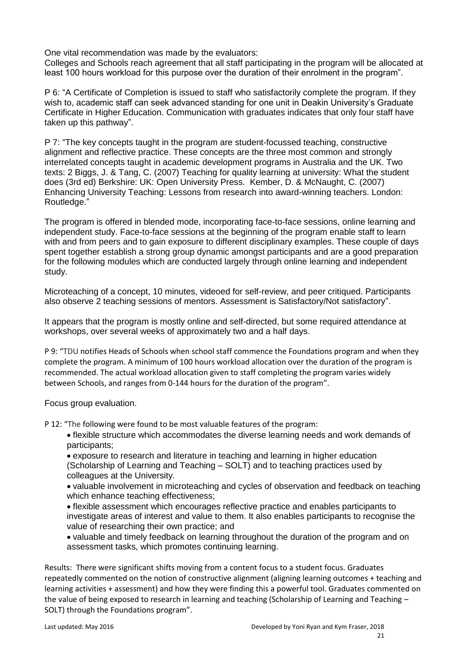One vital recommendation was made by the evaluators:

Colleges and Schools reach agreement that all staff participating in the program will be allocated at least 100 hours workload for this purpose over the duration of their enrolment in the program".

P 6: "A Certificate of Completion is issued to staff who satisfactorily complete the program. If they wish to, academic staff can seek advanced standing for one unit in Deakin University's Graduate Certificate in Higher Education. Communication with graduates indicates that only four staff have taken up this pathway".

P 7: "The key concepts taught in the program are student-focussed teaching, constructive alignment and reflective practice. These concepts are the three most common and strongly interrelated concepts taught in academic development programs in Australia and the UK. Two texts: 2 Biggs, J. & Tang, C. (2007) Teaching for quality learning at university: What the student does (3rd ed) Berkshire: UK: Open University Press. Kember, D. & McNaught, C. (2007) Enhancing University Teaching: Lessons from research into award-winning teachers. London: Routledge."

The program is offered in blended mode, incorporating face-to-face sessions, online learning and independent study. Face-to-face sessions at the beginning of the program enable staff to learn with and from peers and to gain exposure to different disciplinary examples. These couple of days spent together establish a strong group dynamic amongst participants and are a good preparation for the following modules which are conducted largely through online learning and independent study.

Microteaching of a concept, 10 minutes, videoed for self-review, and peer critiqued. Participants also observe 2 teaching sessions of mentors. Assessment is Satisfactory/Not satisfactory".

It appears that the program is mostly online and self-directed, but some required attendance at workshops, over several weeks of approximately two and a half days.

P 9: "TDU notifies Heads of Schools when school staff commence the Foundations program and when they complete the program. A minimum of 100 hours workload allocation over the duration of the program is recommended. The actual workload allocation given to staff completing the program varies widely between Schools, and ranges from 0-144 hours for the duration of the program".

Focus group evaluation.

P 12: "The following were found to be most valuable features of the program:

- flexible structure which accommodates the diverse learning needs and work demands of participants;
- exposure to research and literature in teaching and learning in higher education (Scholarship of Learning and Teaching – SOLT) and to teaching practices used by colleagues at the University.

• valuable involvement in microteaching and cycles of observation and feedback on teaching which enhance teaching effectiveness;

- flexible assessment which encourages reflective practice and enables participants to investigate areas of interest and value to them. It also enables participants to recognise the value of researching their own practice; and
- valuable and timely feedback on learning throughout the duration of the program and on assessment tasks, which promotes continuing learning.

Results: There were significant shifts moving from a content focus to a student focus. Graduates repeatedly commented on the notion of constructive alignment (aligning learning outcomes + teaching and learning activities + assessment) and how they were finding this a powerful tool. Graduates commented on the value of being exposed to research in learning and teaching (Scholarship of Learning and Teaching – SOLT) through the Foundations program".